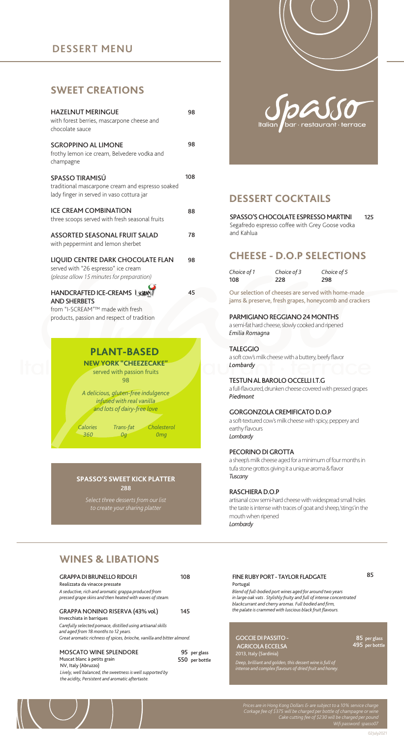## **DESSERT MENU**

## **SWEET CREATIONS**

| <b>HAZELNUT MERINGUE</b><br>with forest berries, mascarpone cheese and<br>chocolate sauce                             | 98  |
|-----------------------------------------------------------------------------------------------------------------------|-----|
| <b>SGROPPINO AL LIMONE</b><br>frothy lemon ice cream, Belvedere vodka and<br>champagne                                | 98  |
| SPASSO TIRAMISÚ<br>traditional mascarpone cream and espresso soaked<br>lady finger in served in vaso cottura jar      | 108 |
| <b>ICE CREAM COMBINATION</b><br>three scoops served with fresh seasonal fruits                                        | 88  |
| ASSORTED SEASONAL FRUIT SALAD<br>with peppermint and lemon sherbet                                                    | 78  |
| LIQUID CENTRE DARK CHOCOLATE FLAN<br>served with "26 espresso" ice cream<br>(please allow 15 minutes for preparation) | 98  |
| <b>HANDCRAFTED ICE-CREAMS USE</b><br><b>AND SHERBETS</b>                                                              | 45  |

from "I-SCREAM"™ made with fresh products, passion and respect of tradition



## **PLANT-BASED NEW YORK "CHEEZECAKE"**

served with passion fruits 98

*A delicious, gluten-free indulgence infused with real vanilla and lots of dairy-free love*

*0g*

*Calories 360*

*Cholesterol Trans-fat 0mg*

#### 288 **SPASSO'S SWEET KICK PLATTER**

*Select three desserts from our list to create your sharing platter*

# bar · restaurant · terrace **Italian**

# **DESSERT COCKTAILS**

125 SPASSO'S CHOCOLATE ESPRESSO MARTINI Segafredo espresso coffee with Grey Goose vodka and Kahlua

## **CHEESE - D.O.P SELECTIONS**

*Choice of 1* 108 *Choice of 5* 298 *Choice of 3* 228

Our selection of cheeses are served with home-made jams & preserve, fresh grapes, honeycomb and crackers

## PARMIGIANO REGGIANO 24 MONTHS

a semi-fat hard cheese, slowly cooked and ripened *Emilia Romagna*

TALEGGIO a soft cow's milk cheese with a buttery, beefy flavor *Lombardy*

## TESTUN AL BAROLO OCCELLI I.T.G

a full-flavoured, drunken cheese covered with pressed grapes *Piedmont*

## GORGONZOLA CREMIFICATO D.O.P

a soft-textured cow's milk cheese with spicy, peppery and earthy flavours *Lombardy*

## PECORINO DI GROTTA

a sheep's milk cheese aged for a minimum of four months in tufa stone grottos giving it a unique aroma & flavor *Tuscany*

#### RASCHIERA D.O.P

artisanal cow semi-hard cheese with widespread small holes the taste is intense with traces of goat and sheep, 'stings' in the mouth when ripened *Lombardy*

# **WINES & LIBATIONS**

| <b>GRAPPA DI BRUNELLO RIDOLFI</b><br>Realizzata da vinacce pressate<br>A seductive, rich and aromatic grappa produced from<br>pressed grape skins and then heated with waves of steam.                                                        | 108 |                                |
|-----------------------------------------------------------------------------------------------------------------------------------------------------------------------------------------------------------------------------------------------|-----|--------------------------------|
| GRAPPA NONINO RISERVA (43% vol.)<br>Invecchiata in barriques<br>Carefully selected pomace, distilled using artisanal skills<br>and aged from 18 months to 12 years.<br>Great aromatic richness of spices, brioche, vanilla and bitter almond. | 145 |                                |
| <b>MOSCATO WINE SPLENDORE</b><br>Muscat blanc à petits grain<br>NV, Italy (Abruzzo)<br>Lively, well balanced, the sweetness is well supported by<br>the acidity, Persistent and aromatic aftertaste.                                          |     | 95 per glass<br>550 per bottle |

85 Portugal *Blend of full-bodied port wines aged for around two years in large oak vats . Stylishly fruity and full of intense concentrated blackcurrant and cherry aromas. Full bodied and firm, the palate is crammed with luscious black fruit flavours.* FINE RUBY PORT - TAYLOR FLADGATE GOCCIE DI PASSITO -

#### AGRICOLA ECCELSA 2013, Italy (Sardinia) *Deep, brilliant and golden, this dessert wine is full of intense and complex flavours of dried fruit and honey.*

85 per glass 495 per bottle